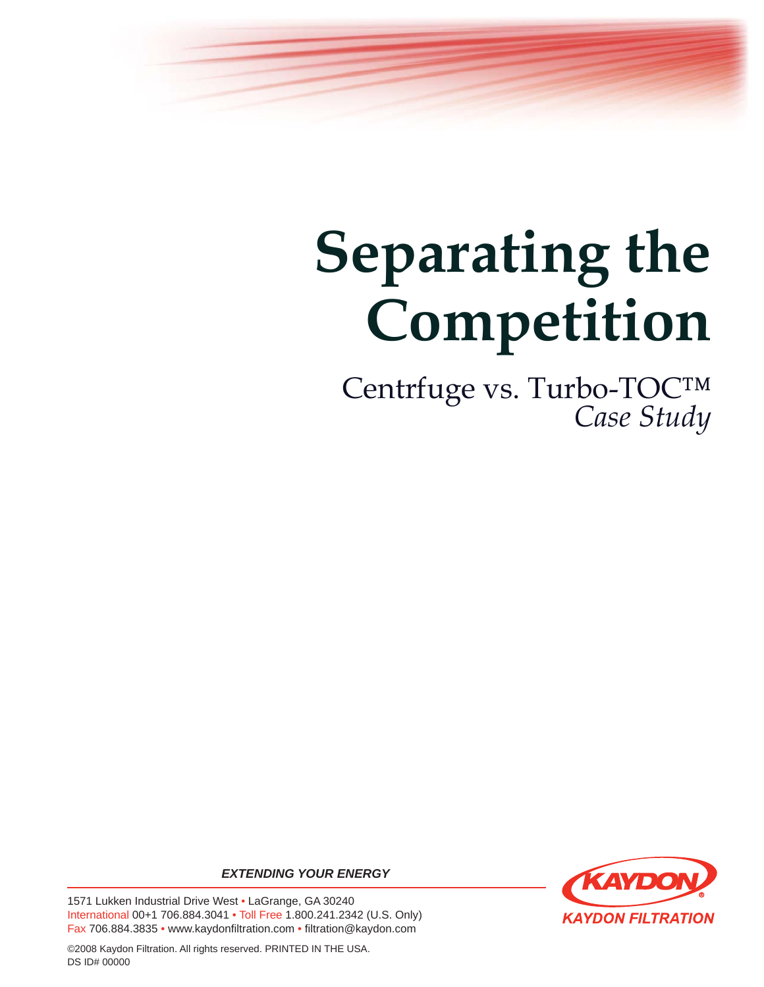

# **Separating the Competition**

Centrfuge vs. Turbo-TOC™ *Case Study* 

*EXTENDING YOUR ENERGY*

1571 Lukken Industrial Drive West • LaGrange, GA 30240 International 00+1 706.884.3041 • Toll Free 1.800.241.2342 (U.S. Only) Fax 706.884.3835 • www.kaydonfiltration.com • filtration@kaydon.com



©2008 Kaydon Filtration. All rights reserved. PRINTED IN THE USA. DS ID# 00000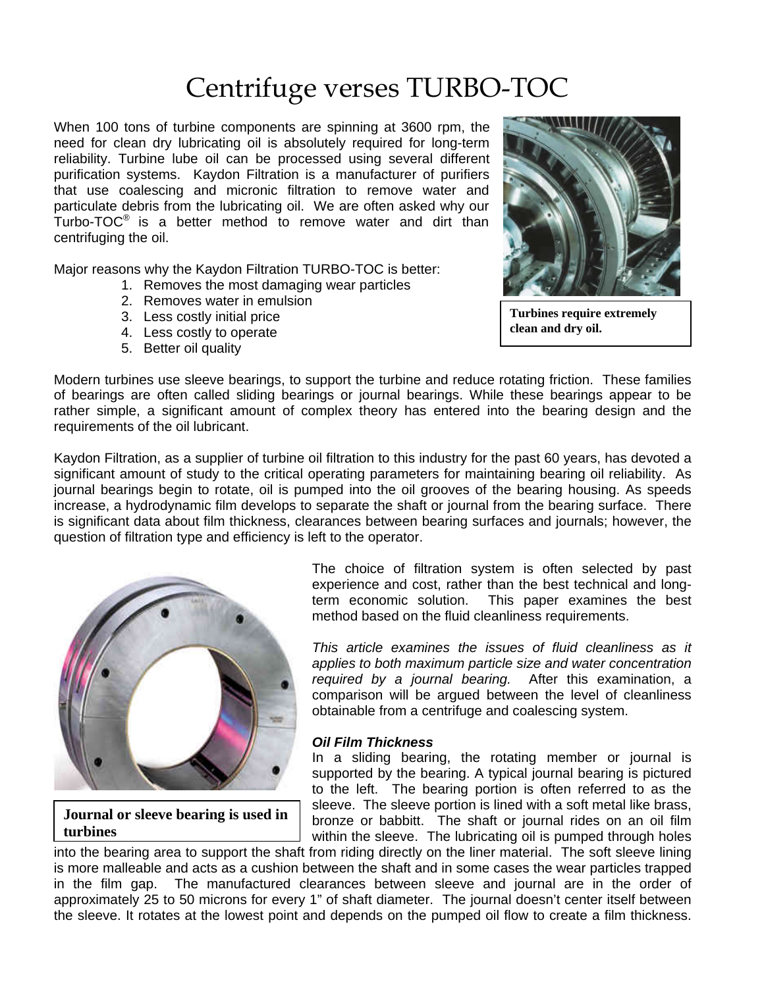# Centrifuge verses TURBO-TOC

When 100 tons of turbine components are spinning at 3600 rpm, the need for clean dry lubricating oil is absolutely required for long-term reliability. Turbine lube oil can be processed using several different purification systems. Kaydon Filtration is a manufacturer of purifiers that use coalescing and micronic filtration to remove water and particulate debris from the lubricating oil. We are often asked why our Turbo-TOC® is a better method to remove water and dirt than centrifuging the oil.

Major reasons why the Kaydon Filtration TURBO-TOC is better:

- 1. Removes the most damaging wear particles
- 2. Removes water in emulsion
- 3. Less costly initial price<br> **clean and dry oil.**<br> **clean and dry oil.**<br> **clean and dry oil.**
- 4. Less costly to operate
- 5. Better oil quality



**Turbines require extremely** 

Modern turbines use sleeve bearings, to support the turbine and reduce rotating friction. These families of bearings are often called sliding bearings or journal bearings. While these bearings appear to be rather simple, a significant amount of complex theory has entered into the bearing design and the requirements of the oil lubricant.

Kaydon Filtration, as a supplier of turbine oil filtration to this industry for the past 60 years, has devoted a significant amount of study to the critical operating parameters for maintaining bearing oil reliability. As journal bearings begin to rotate, oil is pumped into the oil grooves of the bearing housing. As speeds increase, a hydrodynamic film develops to separate the shaft or journal from the bearing surface. There is significant data about film thickness, clearances between bearing surfaces and journals; however, the question of filtration type and efficiency is left to the operator.



**Journal or sleeve bearing is used in turbines**

The choice of filtration system is often selected by past experience and cost, rather than the best technical and longterm economic solution. This paper examines the best method based on the fluid cleanliness requirements.

*This article examines the issues of fluid cleanliness as it applies to both maximum particle size and water concentration required by a journal bearing.* After this examination, a comparison will be argued between the level of cleanliness obtainable from a centrifuge and coalescing system.

### *Oil Film Thickness*

In a sliding bearing, the rotating member or journal is supported by the bearing. A typical journal bearing is pictured to the left. The bearing portion is often referred to as the sleeve. The sleeve portion is lined with a soft metal like brass, bronze or babbitt. The shaft or journal rides on an oil film within the sleeve. The lubricating oil is pumped through holes

into the bearing area to support the shaft from riding directly on the liner material. The soft sleeve lining is more malleable and acts as a cushion between the shaft and in some cases the wear particles trapped in the film gap. The manufactured clearances between sleeve and journal are in the order of approximately 25 to 50 microns for every 1" of shaft diameter. The journal doesn't center itself between the sleeve. It rotates at the lowest point and depends on the pumped oil flow to create a film thickness.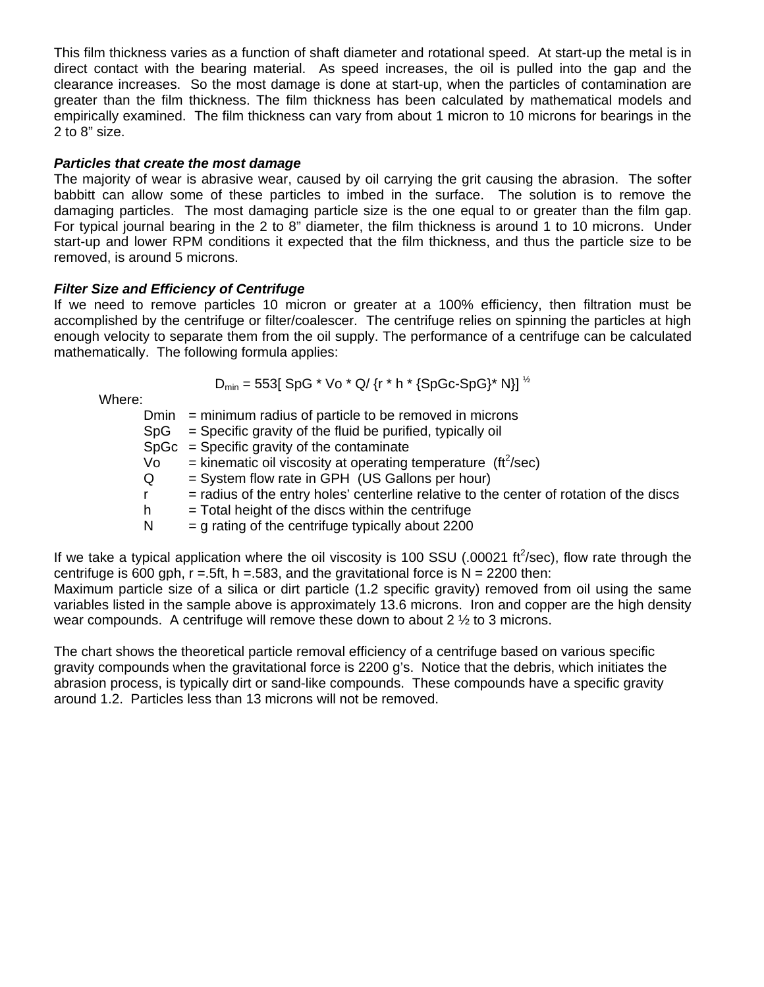This film thickness varies as a function of shaft diameter and rotational speed. At start-up the metal is in direct contact with the bearing material. As speed increases, the oil is pulled into the gap and the clearance increases. So the most damage is done at start-up, when the particles of contamination are greater than the film thickness. The film thickness has been calculated by mathematical models and empirically examined. The film thickness can vary from about 1 micron to 10 microns for bearings in the 2 to 8" size.

#### *Particles that create the most damage*

The majority of wear is abrasive wear, caused by oil carrying the grit causing the abrasion. The softer babbitt can allow some of these particles to imbed in the surface. The solution is to remove the damaging particles. The most damaging particle size is the one equal to or greater than the film gap. For typical journal bearing in the 2 to 8" diameter, the film thickness is around 1 to 10 microns. Under start-up and lower RPM conditions it expected that the film thickness, and thus the particle size to be removed, is around 5 microns.

### *Filter Size and Efficiency of Centrifuge*

If we need to remove particles 10 micron or greater at a 100% efficiency, then filtration must be accomplished by the centrifuge or filter/coalescer. The centrifuge relies on spinning the particles at high enough velocity to separate them from the oil supply. The performance of a centrifuge can be calculated mathematically. The following formula applies:

 $D_{min} = 553$ [ SpG \* Vo \* Q/ {r \* h \* {SpGc-SpG}\* N}]  $^{1/2}$ 

Where:

|     | $Dmin = minimum$ radius of particle to be removed in microns                            |
|-----|-----------------------------------------------------------------------------------------|
| SpG | = Specific gravity of the fluid be purified, typically oil                              |
|     | $SpGc = Specific gravity$ of the contaminate                                            |
| Vo  | $=$ kinematic oil viscosity at operating temperature (ft <sup>2</sup> /sec)             |
| Q   | = System flow rate in GPH (US Gallons per hour)                                         |
|     | = radius of the entry holes' centerline relative to the center of rotation of the discs |
| h.  | $=$ Total height of the discs within the centrifuge                                     |
| N   | $=$ g rating of the centrifuge typically about 2200                                     |
|     |                                                                                         |
|     |                                                                                         |

If we take a typical application where the oil viscosity is 100 SSU (.00021 ft<sup>2</sup>/sec), flow rate through the centrifuge is 600 gph,  $r = .5ft$ , h =  $.583$ , and the gravitational force is N = 2200 then: Maximum particle size of a silica or dirt particle (1.2 specific gravity) removed from oil using the same

variables listed in the sample above is approximately 13.6 microns. Iron and copper are the high density wear compounds. A centrifuge will remove these down to about  $2 \frac{1}{2}$  to 3 microns.

The chart shows the theoretical particle removal efficiency of a centrifuge based on various specific gravity compounds when the gravitational force is 2200 g's. Notice that the debris, which initiates the abrasion process, is typically dirt or sand-like compounds. These compounds have a specific gravity around 1.2. Particles less than 13 microns will not be removed.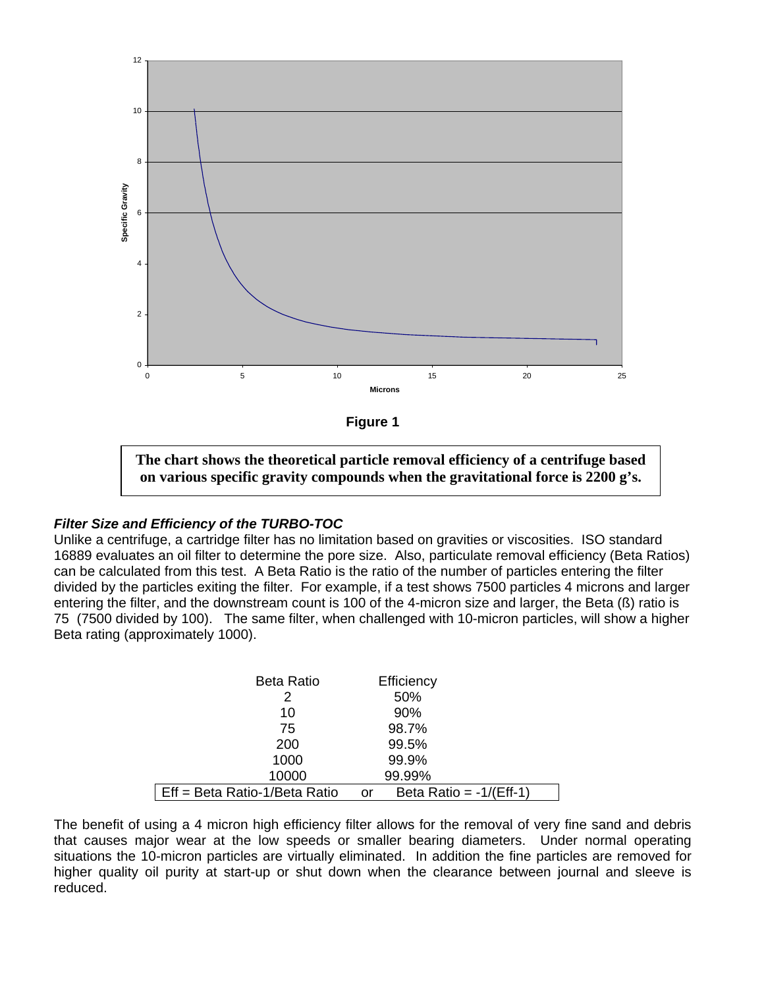

**The chart shows the theoretical particle removal efficiency of a centrifuge based on various specific gravity compounds when the gravitational force is 2200 g's.** 

### *Filter Size and Efficiency of the TURBO-TOC*

Unlike a centrifuge, a cartridge filter has no limitation based on gravities or viscosities. ISO standard 16889 evaluates an oil filter to determine the pore size. Also, particulate removal efficiency (Beta Ratios) can be calculated from this test. A Beta Ratio is the ratio of the number of particles entering the filter divided by the particles exiting the filter. For example, if a test shows 7500 particles 4 microns and larger entering the filter, and the downstream count is 100 of the 4-micron size and larger, the Beta (ß) ratio is 75 (7500 divided by 100). The same filter, when challenged with 10-micron particles, will show a higher Beta rating (approximately 1000).

| <b>Beta Ratio</b>             | Efficiency                      |
|-------------------------------|---------------------------------|
| 2                             | 50%                             |
| 10                            | 90%                             |
| 75                            | 98.7%                           |
| 200                           | 99.5%                           |
| 1000                          | 99.9%                           |
| 10000                         | 99.99%                          |
| Eff = Beta Ratio-1/Beta Ratio | Beta Ratio = $-1/(Eff-1)$<br>or |

The benefit of using a 4 micron high efficiency filter allows for the removal of very fine sand and debris that causes major wear at the low speeds or smaller bearing diameters. Under normal operating situations the 10-micron particles are virtually eliminated. In addition the fine particles are removed for higher quality oil purity at start-up or shut down when the clearance between journal and sleeve is reduced.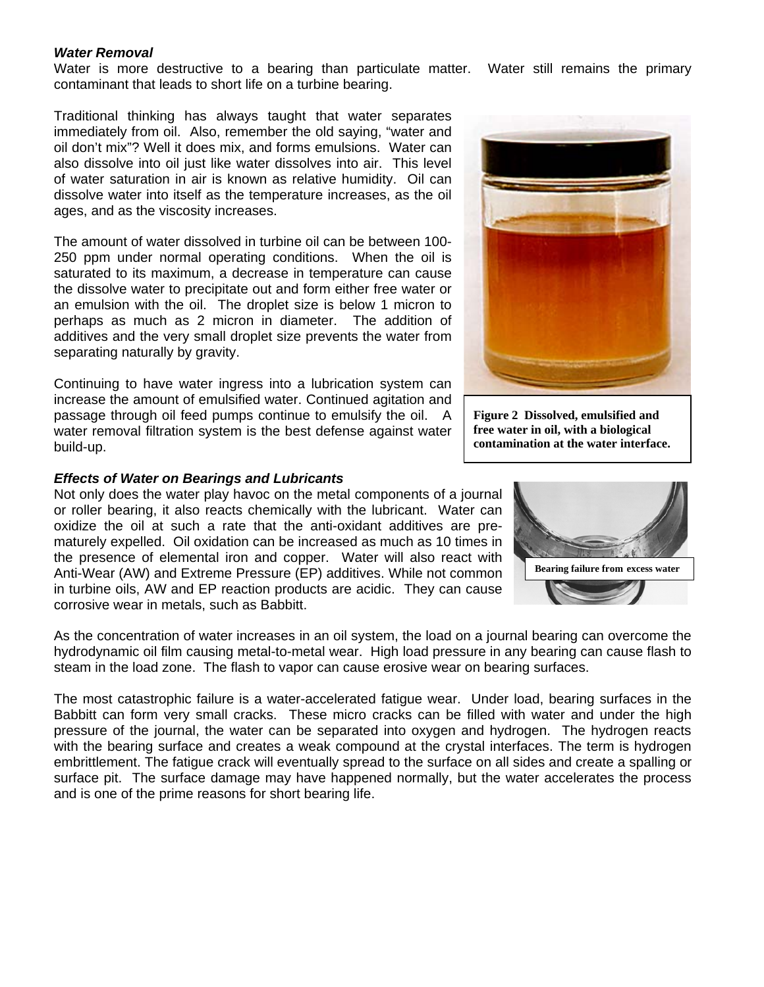#### *Water Removal*

Water is more destructive to a bearing than particulate matter. Water still remains the primary contaminant that leads to short life on a turbine bearing.

Traditional thinking has always taught that water separates immediately from oil. Also, remember the old saying, "water and oil don't mix"? Well it does mix, and forms emulsions. Water can also dissolve into oil just like water dissolves into air. This level of water saturation in air is known as relative humidity. Oil can dissolve water into itself as the temperature increases, as the oil ages, and as the viscosity increases.

The amount of water dissolved in turbine oil can be between 100- 250 ppm under normal operating conditions. When the oil is saturated to its maximum, a decrease in temperature can cause the dissolve water to precipitate out and form either free water or an emulsion with the oil. The droplet size is below 1 micron to perhaps as much as 2 micron in diameter. The addition of additives and the very small droplet size prevents the water from separating naturally by gravity.

Continuing to have water ingress into a lubrication system can increase the amount of emulsified water. Continued agitation and passage through oil feed pumps continue to emulsify the oil. A water removal filtration system is the best defense against water build-up.

#### *Effects of Water on Bearings and Lubricants*

Not only does the water play havoc on the metal components of a journal or roller bearing, it also reacts chemically with the lubricant. Water can oxidize the oil at such a rate that the anti-oxidant additives are prematurely expelled. Oil oxidation can be increased as much as 10 times in the presence of elemental iron and copper. Water will also react with Anti-Wear (AW) and Extreme Pressure (EP) additives. While not common in turbine oils, AW and EP reaction products are acidic. They can cause corrosive wear in metals, such as Babbitt.

As the concentration of water increases in an oil system, the load on a journal bearing can overcome the hydrodynamic oil film causing metal-to-metal wear. High load pressure in any bearing can cause flash to steam in the load zone. The flash to vapor can cause erosive wear on bearing surfaces.

The most catastrophic failure is a water-accelerated fatigue wear. Under load, bearing surfaces in the Babbitt can form very small cracks. These micro cracks can be filled with water and under the high pressure of the journal, the water can be separated into oxygen and hydrogen. The hydrogen reacts with the bearing surface and creates a weak compound at the crystal interfaces. The term is hydrogen embrittlement. The fatigue crack will eventually spread to the surface on all sides and create a spalling or surface pit. The surface damage may have happened normally, but the water accelerates the process and is one of the prime reasons for short bearing life.



**Figure 2 Dissolved, emulsified and free water in oil, with a biological contamination at the water interface.** 

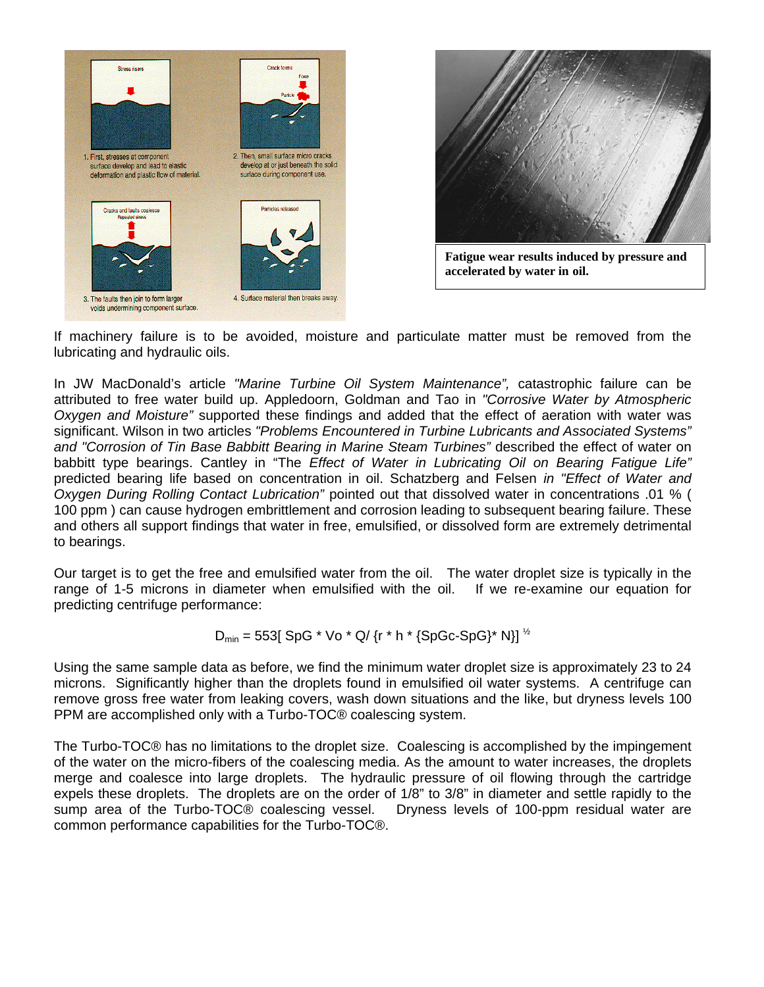



If machinery failure is to be avoided, moisture and particulate matter must be removed from the lubricating and hydraulic oils.

In JW MacDonald's article *"Marine Turbine Oil System Maintenance",* catastrophic failure can be attributed to free water build up. Appledoorn, Goldman and Tao in *"Corrosive Water by Atmospheric Oxygen and Moisture"* supported these findings and added that the effect of aeration with water was significant. Wilson in two articles *"Problems Encountered in Turbine Lubricants and Associated Systems" and "Corrosion of Tin Base Babbitt Bearing in Marine Steam Turbines"* described the effect of water on babbitt type bearings. Cantley in "The *Effect of Water in Lubricating Oil on Bearing Fatigue Life"* predicted bearing life based on concentration in oil. Schatzberg and Felsen *in "Effect of Water and Oxygen During Rolling Contact Lubrication"* pointed out that dissolved water in concentrations .01 % ( 100 ppm ) can cause hydrogen embrittlement and corrosion leading to subsequent bearing failure. These and others all support findings that water in free, emulsified, or dissolved form are extremely detrimental to bearings.

Our target is to get the free and emulsified water from the oil. The water droplet size is typically in the range of 1-5 microns in diameter when emulsified with the oil. If we re-examine our equation for predicting centrifuge performance:

$$
D_{min} = 553[ SpG * Vo * Q / {r * h * {SpGc-SpG} * N}]^{1/2}
$$

Using the same sample data as before, we find the minimum water droplet size is approximately 23 to 24 microns. Significantly higher than the droplets found in emulsified oil water systems. A centrifuge can remove gross free water from leaking covers, wash down situations and the like, but dryness levels 100 PPM are accomplished only with a Turbo-TOC® coalescing system.

The Turbo-TOC® has no limitations to the droplet size. Coalescing is accomplished by the impingement of the water on the micro-fibers of the coalescing media. As the amount to water increases, the droplets merge and coalesce into large droplets. The hydraulic pressure of oil flowing through the cartridge expels these droplets. The droplets are on the order of 1/8" to 3/8" in diameter and settle rapidly to the sump area of the Turbo-TOC® coalescing vessel. Dryness levels of 100-ppm residual water are common performance capabilities for the Turbo-TOC®.